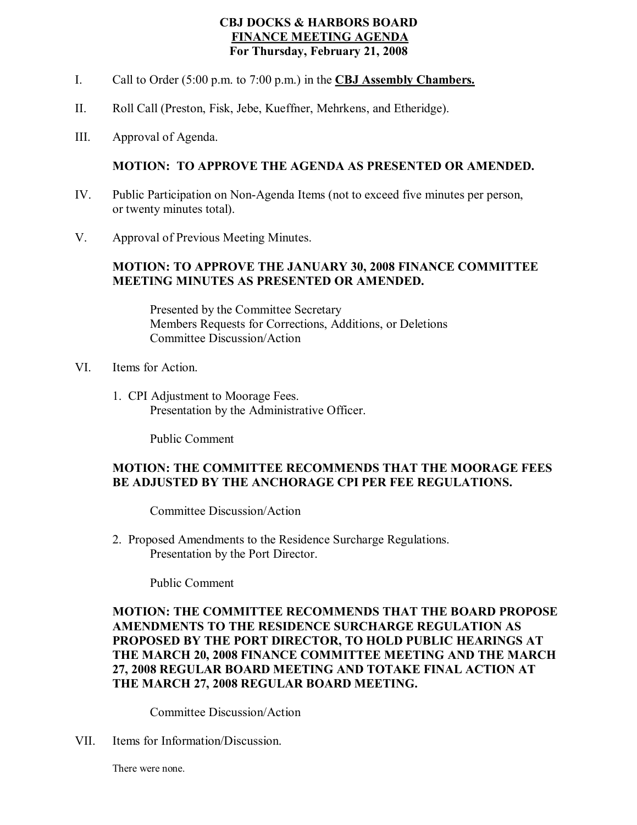## **CBJ DOCKS & HARBORS BOARD FINANCE MEETING AGENDA For Thursday, February 21, 2008**

- I. Call to Order (5:00 p.m. to 7:00 p.m.) in the **CBJ Assembly Chambers.**
- II. Roll Call (Preston, Fisk, Jebe, Kueffner, Mehrkens, and Etheridge).
- III. Approval of Agenda.

## **MOTION: TO APPROVE THE AGENDA AS PRESENTED OR AMENDED.**

- IV. Public Participation on Non-Agenda Items (not to exceed five minutes per person, or twenty minutes total).
- V. Approval of Previous Meeting Minutes.

#### **MOTION: TO APPROVE THE JANUARY 30,2008 FINANCE COMMITTEE MEETING MINUTES AS PRESENTED OR AMENDED.**

Presented by the Committee Secretary Members Requests for Corrections, Additions, or Deletions Committee Discussion/Action

- VI. Items for Action.
	- 1. CPI Adjustment to Moorage Fees. Presentation by the Administrative Officer.

Public Comment

### **MOTION: THE COMMITTEE RECOMMENDS THAT THE MOORAGE FEES BE ADJUSTED BY THE ANCHORAGE CPI PER FEE REGULATIONS.**

Committee Discussion/Action

2. Proposed Amendments to the Residence Surcharge Regulations. Presentation by the Port Director.

Public Comment

# **MOTION: THE COMMITTEE RECOMMENDS THAT THE BOARD PROPOSE AMENDMENTS TO THE RESIDENCE SURCHARGE REGULATION AS PROPOSED BY THE PORT DIRECTOR, TO HOLD PUBLIC HEARINGS AT THE MARCH 20, 2008 FINANCE COMMITTEE MEETING AND THE MARCH 27, 2008 REGULAR BOARD MEETING AND TOTAKE FINAL ACTION AT THE MARCH 27, 2008 REGULAR BOARD MEETING.**

Committee Discussion/Action

VII. Items for Information/Discussion.

There were none.